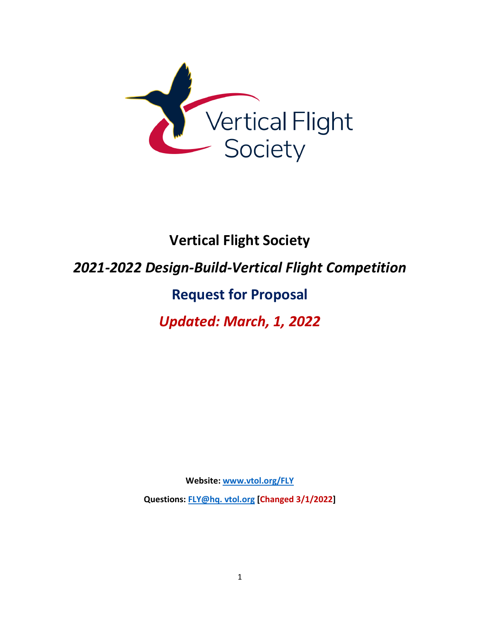

# **Vertical Flight Society**

### *2021-2022 Design-Build-Vertical Flight Competition*

## **Request for Proposal**

### *Updated: March, 1, 2022*

**Website: [www.vtol.org/FLY](http://www.vtol.org/FLY)**

**Questions: [FLY@hq. vtol.org](mailto:FLY@vtol.org) [Changed 3/1/2022]**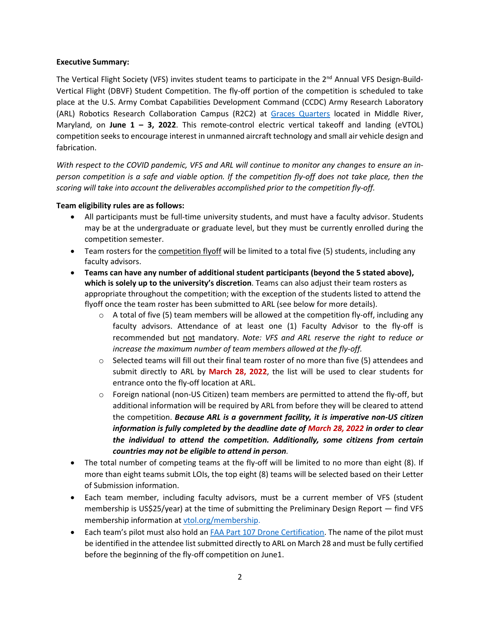#### **Executive Summary:**

The Vertical Flight Society (VFS) invites student teams to participate in the 2<sup>nd</sup> Annual VFS Design-Build-Vertical Flight (DBVF) Student Competition. The fly-off portion of the competition is scheduled to take place at the U.S. Army Combat Capabilities Development Command (CCDC) Army Research Laboratory (ARL) Robotics Research Collaboration Campus (R2C2) at Graces [Quarters](https://goo.gl/maps/wSPkbYkEzAKhL2iz8) located in Middle River, Maryland, on **June 1 – 3, 2022**. This remote-control electric vertical takeoff and landing (eVTOL) competition seeks to encourage interest in unmanned aircraft technology and small air vehicle design and fabrication.

*With respect to the COVID pandemic, VFS and ARL will continue to monitor any changes to ensure an inperson competition is a safe and viable option. If the competition fly-off does not take place, then the scoring will take into account the deliverables accomplished prior to the competition fly-off.* 

#### **Team eligibility rules are as follows:**

- All participants must be full-time university students, and must have a faculty advisor. Students may be at the undergraduate or graduate level, but they must be currently enrolled during the competition semester.
- Team rosters for the competition flyoff will be limited to a total five (5) students, including any faculty advisors.
- **Teams can have any number of additional student participants (beyond the 5 stated above), which is solely up to the university's discretion**. Teams can also adjust their team rosters as appropriate throughout the competition; with the exception of the students listed to attend the flyoff once the team roster has been submitted to ARL (see below for more details).
	- o A total of five (5) team members will be allowed at the competition fly-off, including any faculty advisors. Attendance of at least one (1) Faculty Advisor to the fly-off is recommended but not mandatory. *Note: VFS and ARL reserve the right to reduce or increase the maximum number of team members allowed at the fly-off.*
	- $\circ$  Selected teams will fill out their final team roster of no more than five (5) attendees and submit directly to ARL by **March 28, 2022**, the list will be used to clear students for entrance onto the fly-off location at ARL.
	- $\circ$  Foreign national (non-US Citizen) team members are permitted to attend the fly-off, but additional information will be required by ARL from before they will be cleared to attend the competition. *Because ARL is a government facility, it is imperative non-US citizen information is fully completed by the deadline date of March 28, 2022 in order to clear the individual to attend the competition. Additionally, some citizens from certain countries may not be eligible to attend in person.*
- The total number of competing teams at the fly-off will be limited to no more than eight (8). If more than eight teams submit LOIs, the top eight (8) teams will be selected based on their Letter of Submission information.
- Each team member, including faculty advisors, must be a current member of VFS (student membership is US\$25/year) at the time of submitting the Preliminary Design Report — find VFS membership information at [vtol.org/membership.](https://vtol.org/membership)
- Each team's pilot must also hold an **FAA Part 107 Drone Certification**. The name of the pilot must be identified in the attendee list submitted directly to ARL on March 28 and must be fully certified before the beginning of the fly-off competition on June1.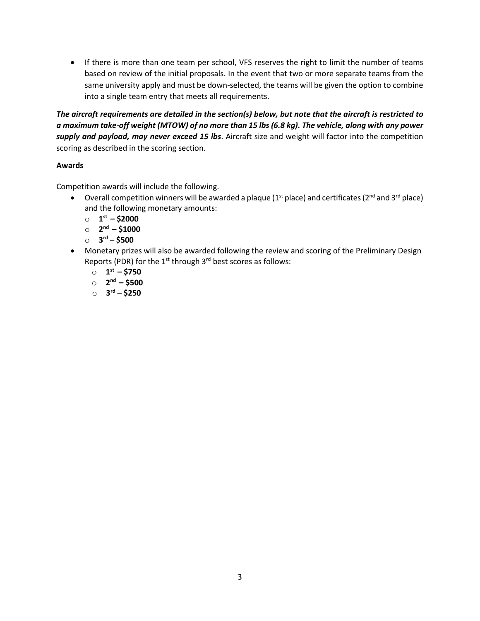• If there is more than one team per school, VFS reserves the right to limit the number of teams based on review of the initial proposals. In the event that two or more separate teams from the same university apply and must be down-selected, the teams will be given the option to combine into a single team entry that meets all requirements.

*The aircraft requirements are detailed in the section(s) below, but note that the aircraft is restricted to a maximum take-off weight (MTOW) of no more than 15 lbs (6.8 kg). The vehicle, along with any power supply and payload, may never exceed 15 lbs*. Aircraft size and weight will factor into the competition scoring as described in the scoring section.

#### **Awards**

Competition awards will include the following.

- Overall competition winners will be awarded a plaque ( $1<sup>st</sup>$  place) and certificates ( $2<sup>nd</sup>$  and  $3<sup>rd</sup>$  place) and the following monetary amounts:
	- o **1st – \$2000**
	- o **2nd – \$1000**
	- o **3rd – \$500**
- Monetary prizes will also be awarded following the review and scoring of the Preliminary Design Reports (PDR) for the  $1<sup>st</sup>$  through  $3<sup>rd</sup>$  best scores as follows:
	- o **1st – \$750**
	- o **2nd – \$500**
	- o **3rd – \$250**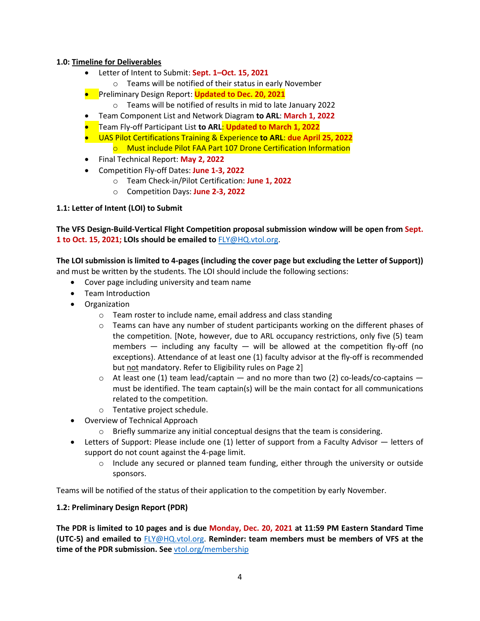#### **1.0: Timeline for Deliverables**

- Letter of Intent to Submit: **Sept. 1–Oct. 15, 2021**
	- o Teams will be notified of their status in early November
- Preliminary Design Report: **Updated to Dec. 20, 2021**
	- o Teams will be notified of results in mid to late January 2022
- Team Component List and Network Diagram **to ARL**: **March 1, 2022**
- Team Fly-off Participant List **to ARL**: **Updated to March 1, 2022**
- UAS Pilot Certifications Training & Experience **to ARL**: **due April 25, 2022** o Must include Pilot FAA Part 107 Drone Certification Information
- Final Technical Report: **May 2, 2022**
- Competition Fly-off Dates: **June 1-3, 2022**
	- o Team Check-in/Pilot Certification: **June 1, 2022**
	- o Competition Days: **June 2-3, 2022**

#### **1.1: Letter of Intent (LOI) to Submit**

#### **The VFS Design-Build-Vertical Flight Competition proposal submission window will be open from Sept. 1 to Oct. 15, 2021; LOIs should be emailed to** [FLY@HQ.vtol.org.](mailto:FLY@HQ.vtol.org)

### **The LOI submission is limited to 4-pages (including the cover page but excluding the Letter of Support))**

and must be written by the students. The LOI should include the following sections:

- Cover page including university and team name
- Team Introduction
- Organization
	- o Team roster to include name, email address and class standing
	- $\circ$  Teams can have any number of student participants working on the different phases of the competition. [Note, however, due to ARL occupancy restrictions, only five (5) team members  $-$  including any faculty  $-$  will be allowed at the competition fly-off (no exceptions). Attendance of at least one (1) faculty advisor at the fly-off is recommended but not mandatory. Refer to Eligibility rules on Page 2]
	- $\circ$  At least one (1) team lead/captain and no more than two (2) co-leads/co-captains must be identified. The team captain(s) will be the main contact for all communications related to the competition.
	- o Tentative project schedule.
- Overview of Technical Approach
	- o Briefly summarize any initial conceptual designs that the team is considering.
- Letters of Support: Please include one (1) letter of support from a Faculty Advisor letters of support do not count against the 4-page limit.
	- $\circ$  Include any secured or planned team funding, either through the university or outside sponsors.

Teams will be notified of the status of their application to the competition by early November.

#### **1.2: Preliminary Design Report (PDR)**

**The PDR is limited to 10 pages and is due Monday, Dec. 20, 2021 at 11:59 PM Eastern Standard Time (UTC-5) and emailed to** [FLY@HQ.vtol.org.](mailto:FLY@HQ.vtol.org) **Reminder: team members must be members of VFS at the**  time of the PDR submission. See [vtol.org/membership](https://vtol.org/membership)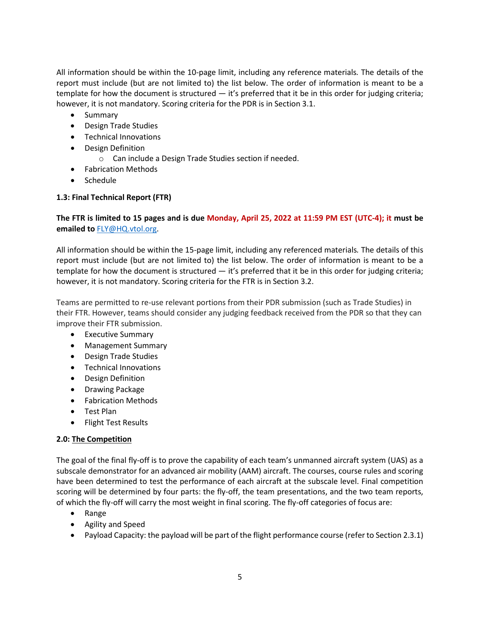All information should be within the 10-page limit, including any reference materials*.* The details of the report must include (but are not limited to) the list below. The order of information is meant to be a template for how the document is structured - it's preferred that it be in this order for judging criteria; however, it is not mandatory. Scoring criteria for the PDR is in Section 3.1.

- Summary
- Design Trade Studies
- Technical Innovations
- Design Definition
	- o Can include a Design Trade Studies section if needed.
- Fabrication Methods
- Schedule

#### **1.3: Final Technical Report (FTR)**

#### **The FTR is limited to 15 pages and is due Monday, April 25, 2022 at 11:59 PM EST (UTC-4); it must be emailed to** [FLY@HQ.vtol.org.](mailto:FLY@HQ.vtol.org)

All information should be within the 15-page limit, including any referenced materials*.* The details of this report must include (but are not limited to) the list below. The order of information is meant to be a template for how the document is structured  $-$  it's preferred that it be in this order for judging criteria; however, it is not mandatory. Scoring criteria for the FTR is in Section 3.2.

Teams are permitted to re-use relevant portions from their PDR submission (such as Trade Studies) in their FTR. However, teams should consider any judging feedback received from the PDR so that they can improve their FTR submission.

- Executive Summary
- Management Summary
- Design Trade Studies
- Technical Innovations
- Design Definition
- Drawing Package
- Fabrication Methods
- Test Plan
- Flight Test Results

#### **2.0: The Competition**

The goal of the final fly-off is to prove the capability of each team's unmanned aircraft system (UAS) as a subscale demonstrator for an advanced air mobility (AAM) aircraft. The courses, course rules and scoring have been determined to test the performance of each aircraft at the subscale level. Final competition scoring will be determined by four parts: the fly-off, the team presentations, and the two team reports, of which the fly-off will carry the most weight in final scoring. The fly-off categories of focus are:

- Range
- Agility and Speed
- Payload Capacity: the payload will be part of the flight performance course (refer to Section 2.3.1)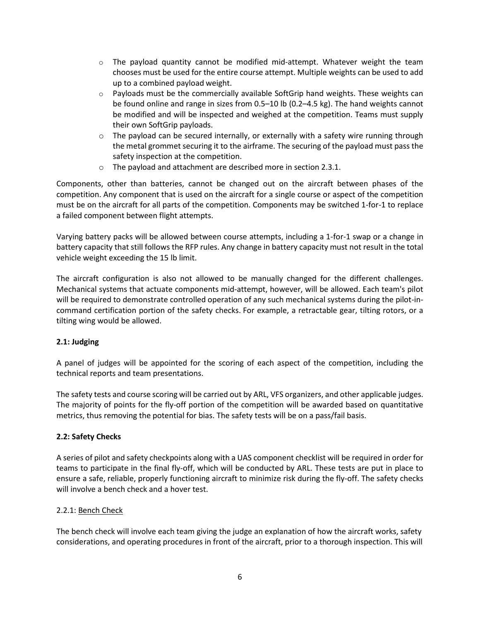- $\circ$  The payload quantity cannot be modified mid-attempt. Whatever weight the team chooses must be used for the entire course attempt. Multiple weights can be used to add up to a combined payload weight.
- $\circ$  Payloads must be the commercially available SoftGrip hand weights. These weights can be found online and range in sizes from 0.5–10 lb (0.2–4.5 kg). The hand weights cannot be modified and will be inspected and weighed at the competition. Teams must supply their own SoftGrip payloads.
- $\circ$  The payload can be secured internally, or externally with a safety wire running through the metal grommet securing it to the airframe. The securing of the payload must pass the safety inspection at the competition.
- o The payload and attachment are described more in section 2.3.1.

Components, other than batteries, cannot be changed out on the aircraft between phases of the competition. Any component that is used on the aircraft for a single course or aspect of the competition must be on the aircraft for all parts of the competition. Components may be switched 1-for-1 to replace a failed component between flight attempts.

Varying battery packs will be allowed between course attempts, including a 1-for-1 swap or a change in battery capacity that still follows the RFP rules. Any change in battery capacity must not result in the total vehicle weight exceeding the 15 lb limit.

The aircraft configuration is also not allowed to be manually changed for the different challenges. Mechanical systems that actuate components mid-attempt, however, will be allowed. Each team's pilot will be required to demonstrate controlled operation of any such mechanical systems during the pilot-incommand certification portion of the safety checks. For example, a retractable gear, tilting rotors, or a tilting wing would be allowed.

#### **2.1: Judging**

A panel of judges will be appointed for the scoring of each aspect of the competition, including the technical reports and team presentations.

The safety tests and course scoring will be carried out by ARL, VFS organizers, and other applicable judges. The majority of points for the fly-off portion of the competition will be awarded based on quantitative metrics, thus removing the potential for bias. The safety tests will be on a pass/fail basis.

#### **2.2: Safety Checks**

A series of pilot and safety checkpoints along with a UAS component checklist will be required in order for teams to participate in the final fly-off, which will be conducted by ARL. These tests are put in place to ensure a safe, reliable, properly functioning aircraft to minimize risk during the fly-off. The safety checks will involve a bench check and a hover test.

#### 2.2.1: Bench Check

The bench check will involve each team giving the judge an explanation of how the aircraft works, safety considerations, and operating procedures in front of the aircraft, prior to a thorough inspection. This will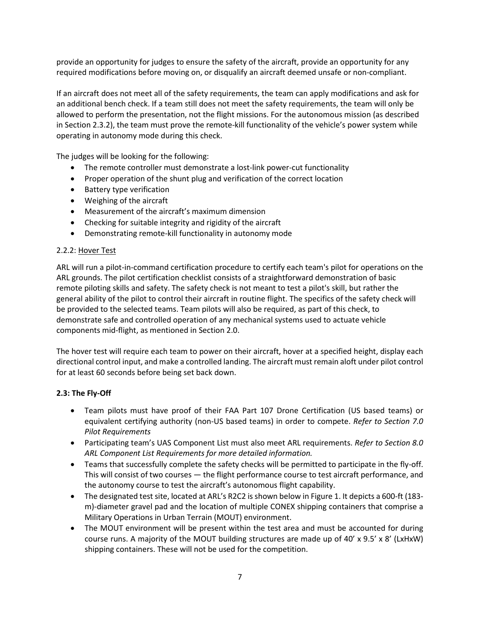provide an opportunity for judges to ensure the safety of the aircraft, provide an opportunity for any required modifications before moving on, or disqualify an aircraft deemed unsafe or non-compliant.

If an aircraft does not meet all of the safety requirements, the team can apply modifications and ask for an additional bench check. If a team still does not meet the safety requirements, the team will only be allowed to perform the presentation, not the flight missions. For the autonomous mission (as described in Section 2.3.2), the team must prove the remote-kill functionality of the vehicle's power system while operating in autonomy mode during this check.

The judges will be looking for the following:

- The remote controller must demonstrate a lost-link power-cut functionality
- Proper operation of the shunt plug and verification of the correct location
- Battery type verification
- Weighing of the aircraft
- Measurement of the aircraft's maximum dimension
- Checking for suitable integrity and rigidity of the aircraft
- Demonstrating remote-kill functionality in autonomy mode

#### 2.2.2: Hover Test

ARL will run a pilot-in-command certification procedure to certify each team's pilot for operations on the ARL grounds. The pilot certification checklist consists of a straightforward demonstration of basic remote piloting skills and safety. The safety check is not meant to test a pilot's skill, but rather the general ability of the pilot to control their aircraft in routine flight. The specifics of the safety check will be provided to the selected teams. Team pilots will also be required, as part of this check, to demonstrate safe and controlled operation of any mechanical systems used to actuate vehicle components mid-flight, as mentioned in Section 2.0.

The hover test will require each team to power on their aircraft, hover at a specified height, display each directional control input, and make a controlled landing. The aircraft must remain aloft under pilot control for at least 60 seconds before being set back down.

#### **2.3: The Fly-Off**

- Team pilots must have proof of their FAA Part 107 Drone Certification (US based teams) or equivalent certifying authority (non-US based teams) in order to compete. *Refer to Section 7.0 Pilot Requirements*
- Participating team's UAS Component List must also meet ARL requirements. *Refer to Section 8.0 ARL Component List Requirements for more detailed information.*
- Teams that successfully complete the safety checks will be permitted to participate in the fly-off. This will consist of two courses — the flight performance course to test aircraft performance, and the autonomy course to test the aircraft's autonomous flight capability.
- The designated test site, located at ARL's R2C2 is shown below in Figure 1. It depicts a 600-ft (183 m)-diameter gravel pad and the location of multiple CONEX shipping containers that comprise a Military Operations in Urban Terrain (MOUT) environment.
- The MOUT environment will be present within the test area and must be accounted for during course runs. A majority of the MOUT building structures are made up of 40' x 9.5' x 8' (LxHxW) shipping containers. These will not be used for the competition.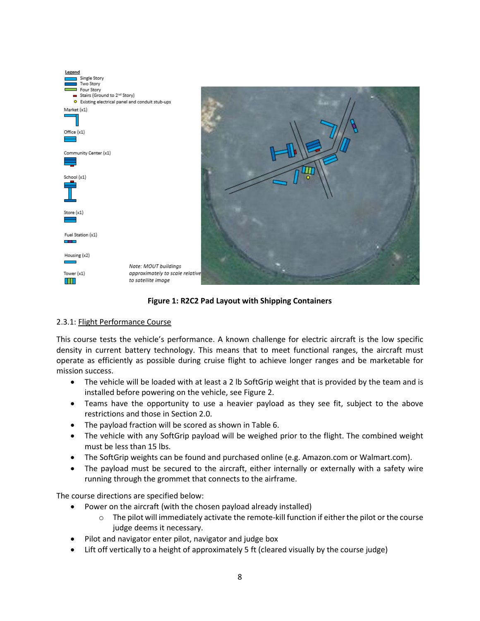| Legend                                           |                                                       |
|--------------------------------------------------|-------------------------------------------------------|
| Single Story                                     |                                                       |
| Two Story<br>Four Story                          |                                                       |
| Stairs (Ground to 2 <sup>nd</sup> Story)         |                                                       |
| O Existing electrical panel and conduit stub-ups |                                                       |
| Market (x1)                                      |                                                       |
|                                                  |                                                       |
| Office (x1)                                      |                                                       |
|                                                  |                                                       |
|                                                  |                                                       |
| Community Center (x1)                            |                                                       |
|                                                  |                                                       |
|                                                  |                                                       |
| School (x1)                                      |                                                       |
|                                                  |                                                       |
|                                                  |                                                       |
|                                                  |                                                       |
|                                                  |                                                       |
| Store (x1)                                       |                                                       |
|                                                  |                                                       |
| Fuel Station (x1)                                |                                                       |
| <b>COLL</b>                                      |                                                       |
|                                                  |                                                       |
| Housing (x2)                                     |                                                       |
| <b>Service Control</b>                           |                                                       |
|                                                  | Note: MOUT buildings                                  |
| Tower (x1)                                       | approximately to scale relative<br>to satellite image |
|                                                  |                                                       |





#### 2.3.1: Flight Performance Course

This course tests the vehicle's performance. A known challenge for electric aircraft is the low specific density in current battery technology. This means that to meet functional ranges, the aircraft must operate as efficiently as possible during cruise flight to achieve longer ranges and be marketable for mission success.

- The vehicle will be loaded with at least a 2 lb SoftGrip weight that is provided by the team and is installed before powering on the vehicle, see Figure 2.
- Teams have the opportunity to use a heavier payload as they see fit, subject to the above restrictions and those in Section 2.0.
- The payload fraction will be scored as shown in Table 6.
- The vehicle with any SoftGrip payload will be weighed prior to the flight. The combined weight must be less than 15 lbs.
- The SoftGrip weights can be found and purchased online (e.g. Amazon.com or Walmart.com).
- The payload must be secured to the aircraft, either internally or externally with a safety wire running through the grommet that connects to the airframe.

The course directions are specified below:

- Power on the aircraft (with the chosen payload already installed)
	- o The pilot will immediately activate the remote-kill function if either the pilot or the course judge deems it necessary.
- Pilot and navigator enter pilot, navigator and judge box
- Lift off vertically to a height of approximately 5 ft (cleared visually by the course judge)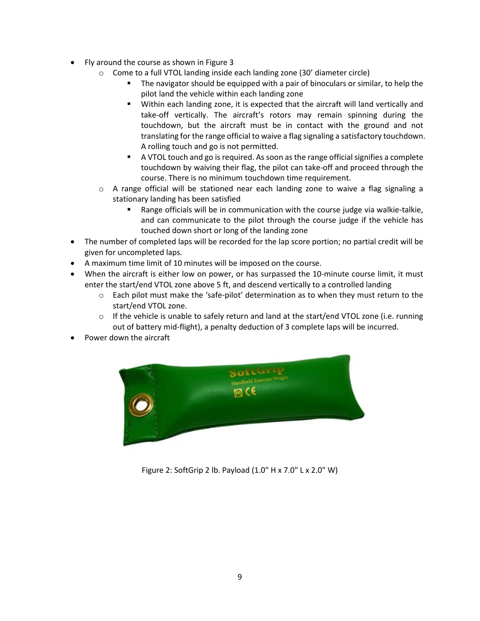- Fly around the course as shown in Figure 3
	- o Come to a full VTOL landing inside each landing zone (30' diameter circle)
		- The navigator should be equipped with a pair of binoculars or similar, to help the pilot land the vehicle within each landing zone
		- Within each landing zone, it is expected that the aircraft will land vertically and take-off vertically. The aircraft's rotors may remain spinning during the touchdown, but the aircraft must be in contact with the ground and not translating for the range official to waive a flag signaling a satisfactory touchdown. A rolling touch and go is not permitted.
		- A VTOL touch and go isrequired. As soon as the range official signifies a complete touchdown by waiving their flag, the pilot can take-off and proceed through the course. There is no minimum touchdown time requirement.
	- o A range official will be stationed near each landing zone to waive a flag signaling a stationary landing has been satisfied
		- Range officials will be in communication with the course judge via walkie-talkie, and can communicate to the pilot through the course judge if the vehicle has touched down short or long of the landing zone
- The number of completed laps will be recorded for the lap score portion; no partial credit will be given for uncompleted laps.
- A maximum time limit of 10 minutes will be imposed on the course.
- When the aircraft is either low on power, or has surpassed the 10-minute course limit, it must enter the start/end VTOL zone above 5 ft, and descend vertically to a controlled landing
	- $\circ$  Each pilot must make the 'safe-pilot' determination as to when they must return to the start/end VTOL zone.
	- $\circ$  If the vehicle is unable to safely return and land at the start/end VTOL zone (i.e. running out of battery mid-flight), a penalty deduction of 3 complete laps will be incurred.
- Power down the aircraft



Figure 2: SoftGrip 2 lb. Payload (1.0" H x 7.0" L x 2.0" W)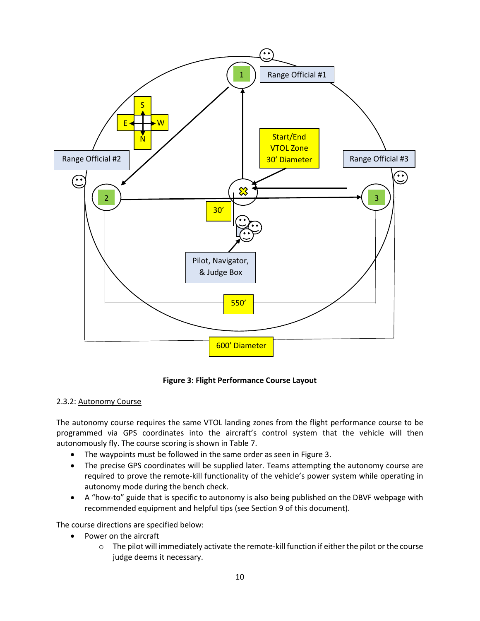

**Figure 3: Flight Performance Course Layout**

#### 2.3.2: Autonomy Course

The autonomy course requires the same VTOL landing zones from the flight performance course to be programmed via GPS coordinates into the aircraft's control system that the vehicle will then autonomously fly. The course scoring is shown in Table 7.

- The waypoints must be followed in the same order as seen in Figure 3.
- The precise GPS coordinates will be supplied later. Teams attempting the autonomy course are required to prove the remote-kill functionality of the vehicle's power system while operating in autonomy mode during the bench check.
- A "how-to" guide that is specific to autonomy is also being published on the DBVF webpage with recommended equipment and helpful tips (see Section 9 of this document).

The course directions are specified below:

- Power on the aircraft
	- $\circ$  The pilot will immediately activate the remote-kill function if either the pilot or the course judge deems it necessary.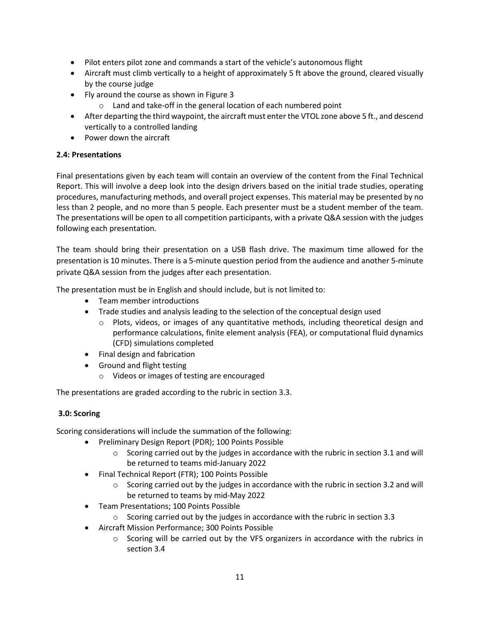- Pilot enters pilot zone and commands a start of the vehicle's autonomous flight
- Aircraft must climb vertically to a height of approximately 5 ft above the ground, cleared visually by the course judge
- Fly around the course as shown in Figure 3
	- o Land and take-off in the general location of each numbered point
- After departing the third waypoint, the aircraft must enter the VTOL zone above 5 ft., and descend vertically to a controlled landing
- Power down the aircraft

#### **2.4: Presentations**

Final presentations given by each team will contain an overview of the content from the Final Technical Report. This will involve a deep look into the design drivers based on the initial trade studies, operating procedures, manufacturing methods, and overall project expenses. This material may be presented by no less than 2 people, and no more than 5 people. Each presenter must be a student member of the team. The presentations will be open to all competition participants, with a private Q&A session with the judges following each presentation.

The team should bring their presentation on a USB flash drive. The maximum time allowed for the presentation is 10 minutes. There is a 5-minute question period from the audience and another 5-minute private Q&A session from the judges after each presentation.

The presentation must be in English and should include, but is not limited to:

- Team member introductions
- Trade studies and analysis leading to the selection of the conceptual design used
	- $\circ$  Plots, videos, or images of any quantitative methods, including theoretical design and performance calculations, finite element analysis (FEA), or computational fluid dynamics (CFD) simulations completed
- Final design and fabrication
- Ground and flight testing
	- o Videos or images of testing are encouraged

The presentations are graded according to the rubric in section 3.3.

#### **3.0: Scoring**

Scoring considerations will include the summation of the following:

- Preliminary Design Report (PDR); 100 Points Possible
	- $\circ$  Scoring carried out by the judges in accordance with the rubric in section 3.1 and will be returned to teams mid-January 2022
- Final Technical Report (FTR); 100 Points Possible
	- $\circ$  Scoring carried out by the judges in accordance with the rubric in section 3.2 and will be returned to teams by mid-May 2022
- Team Presentations; 100 Points Possible
	- o Scoring carried out by the judges in accordance with the rubric in section 3.3
- Aircraft Mission Performance; 300 Points Possible
	- $\circ$  Scoring will be carried out by the VFS organizers in accordance with the rubrics in section 3.4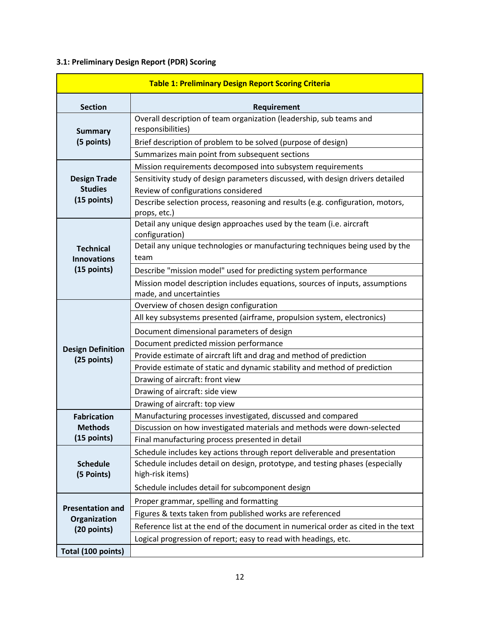#### **3.1: Preliminary Design Report (PDR) Scoring**

| <b>Table 1: Preliminary Design Report Scoring Criteria</b> |                                                                                                         |  |
|------------------------------------------------------------|---------------------------------------------------------------------------------------------------------|--|
| <b>Section</b>                                             | Requirement                                                                                             |  |
| <b>Summary</b>                                             | Overall description of team organization (leadership, sub teams and<br>responsibilities)                |  |
| (5 points)                                                 | Brief description of problem to be solved (purpose of design)                                           |  |
|                                                            | Summarizes main point from subsequent sections                                                          |  |
|                                                            | Mission requirements decomposed into subsystem requirements                                             |  |
| <b>Design Trade</b>                                        | Sensitivity study of design parameters discussed, with design drivers detailed                          |  |
| <b>Studies</b>                                             | Review of configurations considered                                                                     |  |
| (15 points)                                                | Describe selection process, reasoning and results (e.g. configuration, motors,<br>props, etc.)          |  |
|                                                            | Detail any unique design approaches used by the team (i.e. aircraft<br>configuration)                   |  |
| <b>Technical</b><br><b>Innovations</b>                     | Detail any unique technologies or manufacturing techniques being used by the<br>team                    |  |
| (15 points)                                                | Describe "mission model" used for predicting system performance                                         |  |
|                                                            | Mission model description includes equations, sources of inputs, assumptions<br>made, and uncertainties |  |
|                                                            | Overview of chosen design configuration                                                                 |  |
|                                                            | All key subsystems presented (airframe, propulsion system, electronics)                                 |  |
|                                                            | Document dimensional parameters of design                                                               |  |
|                                                            | Document predicted mission performance                                                                  |  |
| <b>Design Definition</b><br>(25 points)                    | Provide estimate of aircraft lift and drag and method of prediction                                     |  |
|                                                            | Provide estimate of static and dynamic stability and method of prediction                               |  |
|                                                            | Drawing of aircraft: front view                                                                         |  |
|                                                            | Drawing of aircraft: side view                                                                          |  |
|                                                            | Drawing of aircraft: top view                                                                           |  |
| <b>Fabrication</b>                                         | Manufacturing processes investigated, discussed and compared                                            |  |
| <b>Methods</b>                                             | Discussion on how investigated materials and methods were down-selected                                 |  |
| (15 points)                                                | Final manufacturing process presented in detail                                                         |  |
| <b>Schedule</b><br>(5 Points)                              | Schedule includes key actions through report deliverable and presentation                               |  |
|                                                            | Schedule includes detail on design, prototype, and testing phases (especially                           |  |
|                                                            | high-risk items)                                                                                        |  |
|                                                            | Schedule includes detail for subcomponent design                                                        |  |
| <b>Presentation and</b><br>Organization<br>(20 points)     | Proper grammar, spelling and formatting                                                                 |  |
|                                                            | Figures & texts taken from published works are referenced                                               |  |
|                                                            | Reference list at the end of the document in numerical order as cited in the text                       |  |
|                                                            | Logical progression of report; easy to read with headings, etc.                                         |  |
| Total (100 points)                                         |                                                                                                         |  |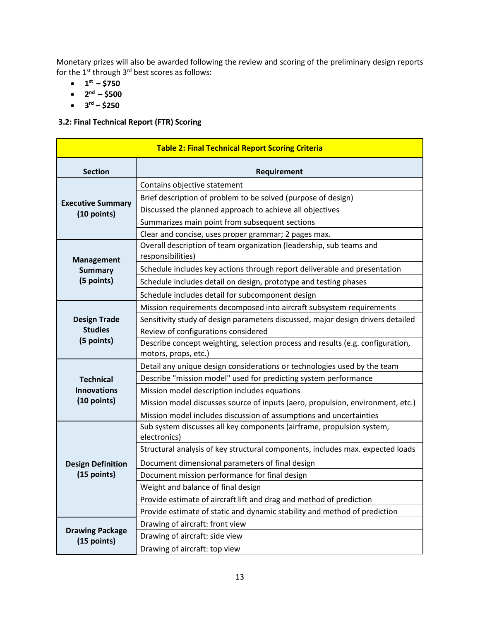Monetary prizes will also be awarded following the review and scoring of the preliminary design reports for the  $1^{st}$  through  $3^{rd}$  best scores as follows:

- $\cdot$  1<sup>st</sup> \$750
- $\bullet$  2<sup>nd</sup> \$500
- $3^{rd} $250$

#### **3.2: Final Technical Report (FTR) Scoring**

| <b>Table 2: Final Technical Report Scoring Criteria</b> |                                                                                          |  |
|---------------------------------------------------------|------------------------------------------------------------------------------------------|--|
| <b>Section</b>                                          | Requirement                                                                              |  |
|                                                         | Contains objective statement                                                             |  |
|                                                         | Brief description of problem to be solved (purpose of design)                            |  |
| <b>Executive Summary</b><br>(10 points)                 | Discussed the planned approach to achieve all objectives                                 |  |
|                                                         | Summarizes main point from subsequent sections                                           |  |
|                                                         | Clear and concise, uses proper grammar; 2 pages max.                                     |  |
| <b>Management</b>                                       | Overall description of team organization (leadership, sub teams and<br>responsibilities) |  |
| <b>Summary</b>                                          | Schedule includes key actions through report deliverable and presentation                |  |
| (5 points)                                              | Schedule includes detail on design, prototype and testing phases                         |  |
|                                                         | Schedule includes detail for subcomponent design                                         |  |
|                                                         | Mission requirements decomposed into aircraft subsystem requirements                     |  |
| <b>Design Trade</b>                                     | Sensitivity study of design parameters discussed, major design drivers detailed          |  |
| <b>Studies</b>                                          | Review of configurations considered                                                      |  |
| (5 points)                                              | Describe concept weighting, selection process and results (e.g. configuration,           |  |
|                                                         | motors, props, etc.)                                                                     |  |
|                                                         | Detail any unique design considerations or technologies used by the team                 |  |
| <b>Technical</b>                                        | Describe "mission model" used for predicting system performance                          |  |
| <b>Innovations</b>                                      | Mission model description includes equations                                             |  |
| (10 points)                                             | Mission model discusses source of inputs (aero, propulsion, environment, etc.)           |  |
|                                                         | Mission model includes discussion of assumptions and uncertainties                       |  |
|                                                         | Sub system discusses all key components (airframe, propulsion system,<br>electronics)    |  |
|                                                         | Structural analysis of key structural components, includes max. expected loads           |  |
| <b>Design Definition</b>                                | Document dimensional parameters of final design                                          |  |
| (15 points)                                             | Document mission performance for final design                                            |  |
|                                                         | Weight and balance of final design                                                       |  |
|                                                         | Provide estimate of aircraft lift and drag and method of prediction                      |  |
|                                                         | Provide estimate of static and dynamic stability and method of prediction                |  |
|                                                         | Drawing of aircraft: front view                                                          |  |
| <b>Drawing Package</b><br>(15 points)                   | Drawing of aircraft: side view                                                           |  |
|                                                         | Drawing of aircraft: top view                                                            |  |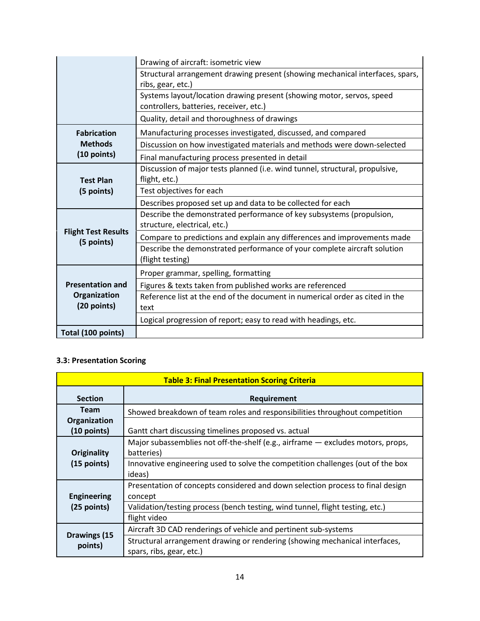|                                                     | Drawing of aircraft: isometric view                                                                              |  |
|-----------------------------------------------------|------------------------------------------------------------------------------------------------------------------|--|
|                                                     | Structural arrangement drawing present (showing mechanical interfaces, spars,<br>ribs, gear, etc.)               |  |
|                                                     | Systems layout/location drawing present (showing motor, servos, speed<br>controllers, batteries, receiver, etc.) |  |
|                                                     | Quality, detail and thoroughness of drawings                                                                     |  |
| <b>Fabrication</b><br><b>Methods</b><br>(10 points) | Manufacturing processes investigated, discussed, and compared                                                    |  |
|                                                     | Discussion on how investigated materials and methods were down-selected                                          |  |
|                                                     | Final manufacturing process presented in detail                                                                  |  |
| <b>Test Plan</b>                                    | Discussion of major tests planned (i.e. wind tunnel, structural, propulsive,<br>flight, etc.)                    |  |
| (5 points)                                          | Test objectives for each                                                                                         |  |
|                                                     | Describes proposed set up and data to be collected for each                                                      |  |
|                                                     | Describe the demonstrated performance of key subsystems (propulsion,<br>structure, electrical, etc.)             |  |
| <b>Flight Test Results</b><br>(5 points)            | Compare to predictions and explain any differences and improvements made                                         |  |
|                                                     | Describe the demonstrated performance of your complete aircraft solution<br>(flight testing)                     |  |
|                                                     | Proper grammar, spelling, formatting                                                                             |  |
| <b>Presentation and</b>                             | Figures & texts taken from published works are referenced                                                        |  |
| Organization<br>(20 points)                         | Reference list at the end of the document in numerical order as cited in the<br>text                             |  |
|                                                     | Logical progression of report; easy to read with headings, etc.                                                  |  |
| Total (100 points)                                  |                                                                                                                  |  |

#### **3.3: Presentation Scoring**

| <b>Table 3: Final Presentation Scoring Criteria</b> |                                                                                               |
|-----------------------------------------------------|-----------------------------------------------------------------------------------------------|
| <b>Section</b>                                      | Requirement                                                                                   |
| <b>Team</b>                                         | Showed breakdown of team roles and responsibilities throughout competition                    |
| Organization<br>$(10$ points)                       | Gantt chart discussing timelines proposed vs. actual                                          |
| Originality<br>$(15$ points)                        | Major subassemblies not off-the-shelf (e.g., airframe - excludes motors, props,<br>batteries) |
|                                                     | Innovative engineering used to solve the competition challenges (out of the box<br>ideas)     |
| <b>Engineering</b>                                  | Presentation of concepts considered and down selection process to final design<br>concept     |
| $(25$ points)                                       | Validation/testing process (bench testing, wind tunnel, flight testing, etc.)                 |
|                                                     | flight video                                                                                  |
| Drawings (15<br>points)                             | Aircraft 3D CAD renderings of vehicle and pertinent sub-systems                               |
|                                                     | Structural arrangement drawing or rendering (showing mechanical interfaces,                   |
|                                                     | spars, ribs, gear, etc.)                                                                      |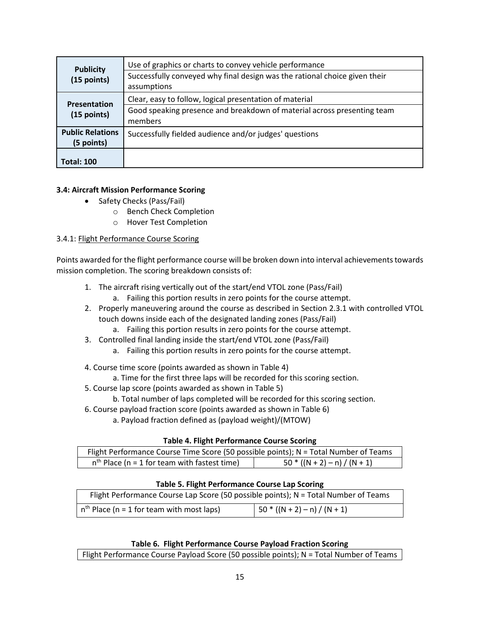| <b>Publicity</b>        | Use of graphics or charts to convey vehicle performance                    |  |
|-------------------------|----------------------------------------------------------------------------|--|
| (15 points)             | Successfully conveyed why final design was the rational choice given their |  |
|                         | assumptions                                                                |  |
| Presentation            | Clear, easy to follow, logical presentation of material                    |  |
| $(15$ points)           | Good speaking presence and breakdown of material across presenting team    |  |
|                         | members                                                                    |  |
| <b>Public Relations</b> | Successfully fielded audience and/or judges' questions                     |  |
| (5 points)              |                                                                            |  |
|                         |                                                                            |  |
| <b>Total: 100</b>       |                                                                            |  |

#### **3.4: Aircraft Mission Performance Scoring**

- Safety Checks (Pass/Fail)
	- o Bench Check Completion
	- o Hover Test Completion

#### 3.4.1: Flight Performance Course Scoring

Points awarded for the flight performance course will be broken down into interval achievements towards mission completion. The scoring breakdown consists of:

- 1. The aircraft rising vertically out of the start/end VTOL zone (Pass/Fail)
	- a. Failing this portion results in zero points for the course attempt.
- 2. Properly maneuvering around the course as described in Section 2.3.1 with controlled VTOL touch downs inside each of the designated landing zones (Pass/Fail)
	- a. Failing this portion results in zero points for the course attempt.
- 3. Controlled final landing inside the start/end VTOL zone (Pass/Fail)
	- a. Failing this portion results in zero points for the course attempt.
- 4. Course time score (points awarded as shown in Table 4)
	- a. Time for the first three laps will be recorded for this scoring section.
- 5. Course lap score (points awarded as shown in Table 5)
	- b. Total number of laps completed will be recorded for this scoring section.
- 6. Course payload fraction score (points awarded as shown in Table 6)
	- a. Payload fraction defined as (payload weight)/(MTOW)

#### **Table 4. Flight Performance Course Scoring**

| Flight Performance Course Time Score (50 possible points); N = Total Number of Teams |                                |
|--------------------------------------------------------------------------------------|--------------------------------|
| $nth$ Place (n = 1 for team with fastest time)                                       | $50 * ((N + 2) - n) / (N + 1)$ |

#### **Table 5. Flight Performance Course Lap Scoring**

| Flight Performance Course Lap Score (50 possible points); N = Total Number of Teams |                                            |
|-------------------------------------------------------------------------------------|--------------------------------------------|
| $nth$ Place (n = 1 for team with most laps)                                         | $\left(50*(N+2)-n\right)/\left(N+1\right)$ |

#### **Table 6. Flight Performance Course Payload Fraction Scoring**

Flight Performance Course Payload Score (50 possible points); N = Total Number of Teams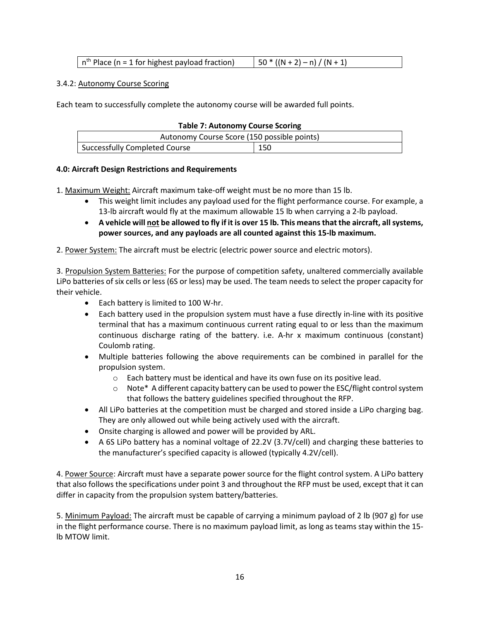| $\mid$ n <sup>th</sup> Place (n = 1 for highest payload fraction) | $(50 * ((N + 2) - n) / (N + 1))$ |
|-------------------------------------------------------------------|----------------------------------|
|-------------------------------------------------------------------|----------------------------------|

#### 3.4.2: Autonomy Course Scoring

Each team to successfully complete the autonomy course will be awarded full points.

| <b>Table 7: Autonomy Course Scoring</b>     |     |
|---------------------------------------------|-----|
| Autonomy Course Score (150 possible points) |     |
| Successfully Completed Course               | 150 |

#### **4.0: Aircraft Design Restrictions and Requirements**

1. Maximum Weight: Aircraft maximum take-off weight must be no more than 15 lb.

- This weight limit includes any payload used for the flight performance course. For example, a 13-lb aircraft would fly at the maximum allowable 15 lb when carrying a 2-lb payload.
- **A vehicle will not be allowed to fly if it is over 15 lb. This means that the aircraft, all systems, power sources, and any payloads are all counted against this 15-lb maximum.**

2. Power System: The aircraft must be electric (electric power source and electric motors).

3. Propulsion System Batteries: For the purpose of competition safety, unaltered commercially available LiPo batteries of six cells or less (6S or less) may be used. The team needs to select the proper capacity for their vehicle.

- Each battery is limited to 100 W-hr.
- Each battery used in the propulsion system must have a fuse directly in-line with its positive terminal that has a maximum continuous current rating equal to or less than the maximum continuous discharge rating of the battery. i.e. A-hr x maximum continuous (constant) Coulomb rating.
- Multiple batteries following the above requirements can be combined in parallel for the propulsion system.
	- o Each battery must be identical and have its own fuse on its positive lead.
	- o Note\* A different capacity battery can be used to power the ESC/flight control system that follows the battery guidelines specified throughout the RFP.
- All LiPo batteries at the competition must be charged and stored inside a LiPo charging bag. They are only allowed out while being actively used with the aircraft.
- Onsite charging is allowed and power will be provided by ARL.
- A 6S LiPo battery has a nominal voltage of 22.2V (3.7V/cell) and charging these batteries to the manufacturer's specified capacity is allowed (typically 4.2V/cell).

4. Power Source: Aircraft must have a separate power source for the flight control system. A LiPo battery that also follows the specifications under point 3 and throughout the RFP must be used, except that it can differ in capacity from the propulsion system battery/batteries.

5. Minimum Payload: The aircraft must be capable of carrying a minimum payload of 2 lb (907 g) for use in the flight performance course. There is no maximum payload limit, as long as teams stay within the 15 lb MTOW limit.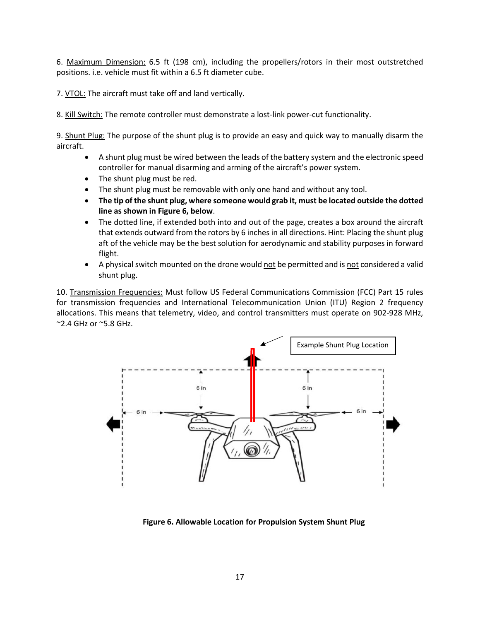6. Maximum Dimension: 6.5 ft (198 cm), including the propellers/rotors in their most outstretched positions. i.e. vehicle must fit within a 6.5 ft diameter cube.

7. VTOL: The aircraft must take off and land vertically.

8. Kill Switch: The remote controller must demonstrate a lost-link power-cut functionality.

9. Shunt Plug: The purpose of the shunt plug is to provide an easy and quick way to manually disarm the aircraft.

- A shunt plug must be wired between the leads of the battery system and the electronic speed controller for manual disarming and arming of the aircraft's power system.
- The shunt plug must be red.
- The shunt plug must be removable with only one hand and without any tool.
- **The tip of the shunt plug, where someone would grab it, must be located outside the dotted line as shown in Figure 6, below**.
- The dotted line, if extended both into and out of the page, creates a box around the aircraft that extends outward from the rotors by 6 inches in all directions. Hint: Placing the shunt plug aft of the vehicle may be the best solution for aerodynamic and stability purposes in forward flight.
- A physical switch mounted on the drone would not be permitted and is not considered a valid shunt plug.

10. Transmission Frequencies: Must follow US Federal Communications Commission (FCC) Part 15 rules for transmission frequencies and International Telecommunication Union (ITU) Region 2 frequency allocations. This means that telemetry, video, and control transmitters must operate on 902-928 MHz, ~2.4 GHz or ~5.8 GHz.



**Figure 6. Allowable Location for Propulsion System Shunt Plug**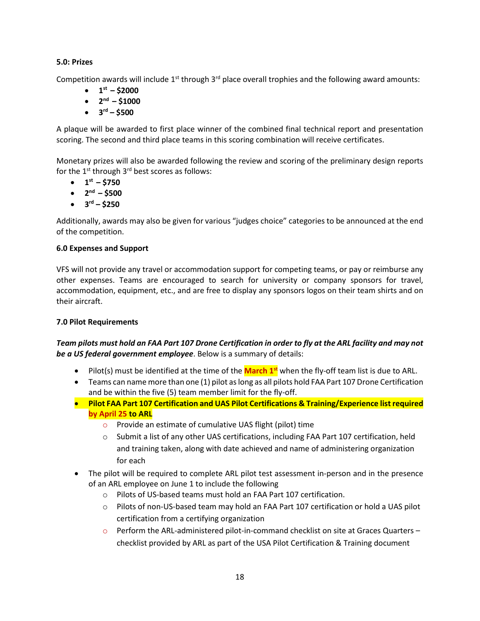#### **5.0: Prizes**

Competition awards will include  $1<sup>st</sup>$  through  $3<sup>rd</sup>$  place overall trophies and the following award amounts:

- $\bullet$  1<sup>st</sup> \$2000
- $\bullet$  2<sup>nd</sup> \$1000
- $\bullet$   $3^{rd} $500$

A plaque will be awarded to first place winner of the combined final technical report and presentation scoring. The second and third place teams in this scoring combination will receive certificates.

Monetary prizes will also be awarded following the review and scoring of the preliminary design reports for the  $1<sup>st</sup>$  through  $3<sup>rd</sup>$  best scores as follows:

- $\bullet$  1<sup>st</sup> \$750
- **2nd – \$500**
- $\bullet$   $3^{rd} 5250$

Additionally, awards may also be given for various "judges choice" categories to be announced at the end of the competition.

#### **6.0 Expenses and Support**

VFS will not provide any travel or accommodation support for competing teams, or pay or reimburse any other expenses. Teams are encouraged to search for university or company sponsors for travel, accommodation, equipment, etc., and are free to display any sponsors logos on their team shirts and on their aircraft.

#### **7.0 Pilot Requirements**

#### *Team pilots must hold an FAA Part 107 Drone Certification in order to fly at the ARL facility and may not be a US federal government employee*. Below is a summary of details:

- Pilot(s) must be identified at the time of the **March 1st** when the fly-off team list is due to ARL.
- Teams can name more than one (1) pilot as long as all pilots hold FAA Part 107 Drone Certification and be within the five (5) team member limit for the fly-off.
- **Pilot FAA Part 107 Certification and UAS Pilot Certifications & Training/Experience list required by April 25 to ARL**
	- o Provide an estimate of cumulative UAS flight (pilot) time
	- $\circ$  Submit a list of any other UAS certifications, including FAA Part 107 certification, held and training taken, along with date achieved and name of administering organization for each
- The pilot will be required to complete ARL pilot test assessment in-person and in the presence of an ARL employee on June 1 to include the following
	- o Pilots of US-based teams must hold an FAA Part 107 certification.
	- o Pilots of non-US-based team may hold an FAA Part 107 certification or hold a UAS pilot certification from a certifying organization
	- o Perform the ARL-administered pilot-in-command checklist on site at Graces Quarters checklist provided by ARL as part of the USA Pilot Certification & Training document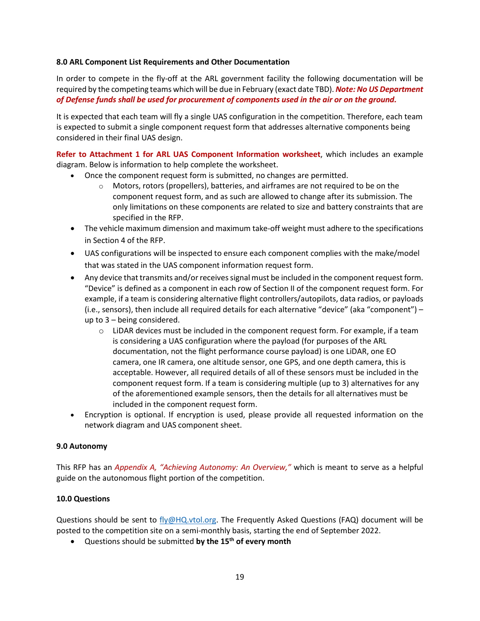#### **8.0 ARL Component List Requirements and Other Documentation**

In order to compete in the fly-off at the ARL government facility the following documentation will be required by the competing teams which will be due in February (exact date TBD). *Note: No US Department of Defense funds shall be used for procurement of components used in the air or on the ground.*

It is expected that each team will fly a single UAS configuration in the competition. Therefore, each team is expected to submit a single component request form that addresses alternative components being considered in their final UAS design.

**Refer to Attachment 1 for ARL UAS Component Information worksheet**, which includes an example diagram. Below is information to help complete the worksheet.

- Once the component request form is submitted, no changes are permitted.
	- $\circ$  Motors, rotors (propellers), batteries, and airframes are not required to be on the component request form, and as such are allowed to change after its submission. The only limitations on these components are related to size and battery constraints that are specified in the RFP.
- The vehicle maximum dimension and maximum take-off weight must adhere to the specifications in Section 4 of the RFP.
- UAS configurations will be inspected to ensure each component complies with the make/model that was stated in the UAS component information request form.
- Any device that transmits and/or receives signal must be included in the component request form. "Device" is defined as a component in each row of Section II of the component request form. For example, if a team is considering alternative flight controllers/autopilots, data radios, or payloads (i.e., sensors), then include all required details for each alternative "device" (aka "component") – up to 3 – being considered.
	- $\circ$  LiDAR devices must be included in the component request form. For example, if a team is considering a UAS configuration where the payload (for purposes of the ARL documentation, not the flight performance course payload) is one LiDAR, one EO camera, one IR camera, one altitude sensor, one GPS, and one depth camera, this is acceptable. However, all required details of all of these sensors must be included in the component request form. If a team is considering multiple (up to 3) alternatives for any of the aforementioned example sensors, then the details for all alternatives must be included in the component request form.
- Encryption is optional. If encryption is used, please provide all requested information on the network diagram and UAS component sheet.

#### **9.0 Autonomy**

This RFP has an *Appendix A, "Achieving Autonomy: An Overview,"* which is meant to serve as a helpful guide on the autonomous flight portion of the competition.

#### **10.0 Questions**

Questions should be sent to [fly@HQ.vtol.org.](mailto:fly@HQ.vtol.org) The Frequently Asked Questions (FAQ) document will be posted to the competition site on a semi-monthly basis, starting the end of September 2022.

• Questions should be submitted **by the 15th of every month**